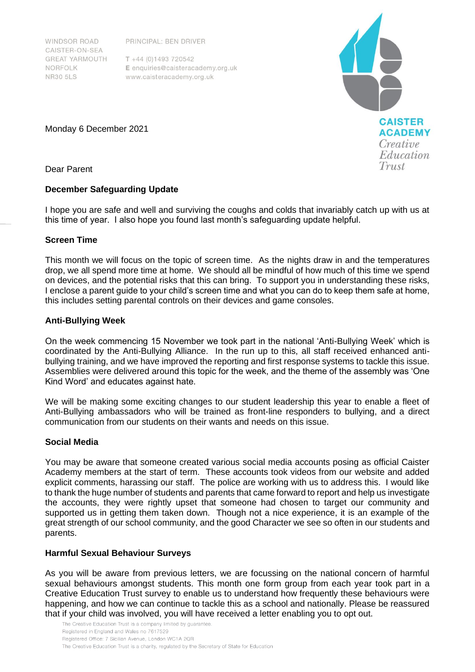PRINCIPAL: BEN DRIVER

**WINDSOR ROAD** CAISTER-ON-SEA **GREAT YARMOUTH** NORFOLK **NR30 5LS** 

 $T + 44(0)1493720542$ E enquiries@caisteracademy.org.uk www.caisteracademy.org.uk



Monday 6 December 2021

Dear Parent

## **December Safeguarding Update**

I hope you are safe and well and surviving the coughs and colds that invariably catch up with us at this time of year. I also hope you found last month's safeguarding update helpful.

# **Screen Time**

This month we will focus on the topic of screen time. As the nights draw in and the temperatures drop, we all spend more time at home. We should all be mindful of how much of this time we spend on devices, and the potential risks that this can bring. To support you in understanding these risks, I enclose a parent guide to your child's screen time and what you can do to keep them safe at home, this includes setting parental controls on their devices and game consoles.

# **Anti-Bullying Week**

On the week commencing 15 November we took part in the national 'Anti-Bullying Week' which is coordinated by the Anti-Bullying Alliance. In the run up to this, all staff received enhanced antibullying training, and we have improved the reporting and first response systems to tackle this issue. Assemblies were delivered around this topic for the week, and the theme of the assembly was 'One Kind Word' and educates against hate.

We will be making some exciting changes to our student leadership this year to enable a fleet of Anti-Bullying ambassadors who will be trained as front-line responders to bullying, and a direct communication from our students on their wants and needs on this issue.

## **Social Media**

You may be aware that someone created various social media accounts posing as official Caister Academy members at the start of term. These accounts took videos from our website and added explicit comments, harassing our staff. The police are working with us to address this. I would like to thank the huge number of students and parents that came forward to report and help us investigate the accounts, they were rightly upset that someone had chosen to target our community and supported us in getting them taken down. Though not a nice experience, it is an example of the great strength of our school community, and the good Character we see so often in our students and parents.

## **Harmful Sexual Behaviour Surveys**

As you will be aware from previous letters, we are focussing on the national concern of harmful sexual behaviours amongst students. This month one form group from each year took part in a Creative Education Trust survey to enable us to understand how frequently these behaviours were happening, and how we can continue to tackle this as a school and nationally. Please be reassured that if your child was involved, you will have received a letter enabling you to opt out.